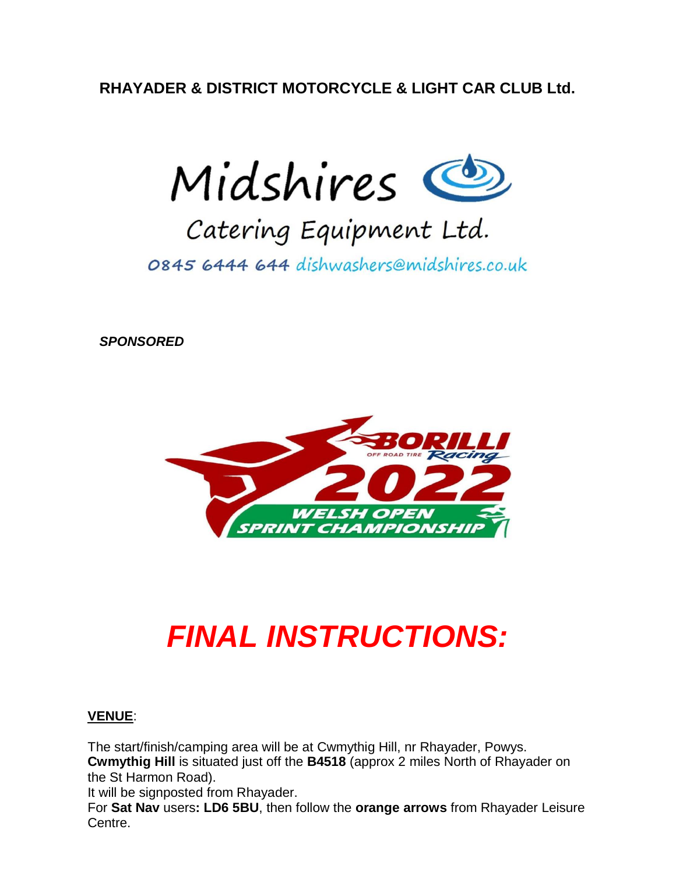**RHAYADER & DISTRICT MOTORCYCLE & LIGHT CAR CLUB Ltd.**



# Catering Equipment Ltd.

0845 6444 644 dishwashers@midshires.co.uk

*SPONSORED*



# *FINAL INSTRUCTIONS:*

#### **VENUE**:

The start/finish/camping area will be at Cwmythig Hill, nr Rhayader, Powys. **Cwmythig Hill** is situated just off the **B4518** (approx 2 miles North of Rhayader on the St Harmon Road).

It will be signposted from Rhayader.

For **Sat Nav** users**: LD6 5BU**, then follow the **orange arrows** from Rhayader Leisure Centre.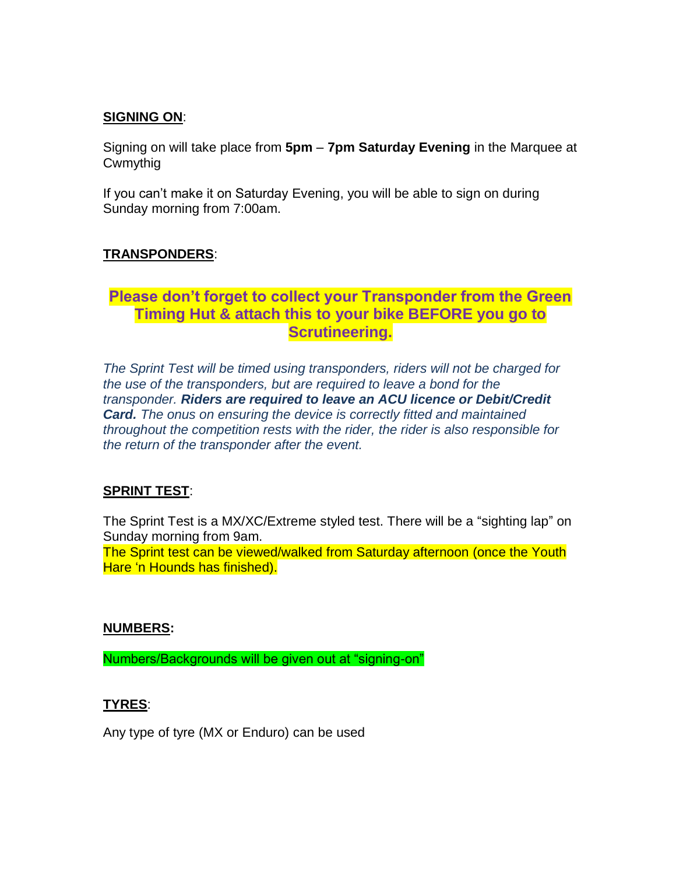#### **SIGNING ON**:

Signing on will take place from **5pm** – **7pm Saturday Evening** in the Marquee at Cwmythig

If you can't make it on Saturday Evening, you will be able to sign on during Sunday morning from 7:00am.

#### **TRANSPONDERS**:

#### **Please don't forget to collect your Transponder from the Green Timing Hut & attach this to your bike BEFORE you go to Scrutineering.**

**SIGNING-ON/SCRUTINEERING:** the use of the transponders, but are required to leave a bond for the **the transponders**, but are required to leave a bond for the *transponder. Riders are required to leave an ACU licence or Debit/Credit* **Card.** The onus on ensuring the device is correctly fitted and maintained **Card.** The onus on ensuring the device is correctly fitted and maintained throughout the competition rests with the rider, the rider is also responsible for *The Sprint Test will be timed using transponders, riders will not be charged for the return of the transponder after the event.*

### **SPRINT TEST:**  $\overline{S}$

Licenses will be checked at signing-on. **One Event ACU Licenses will also be**  The Sprint Test is a MX/XC/Extreme styled test. There will be a "sighting lap" on Sunday moming nom sam.<br>The event will be used the use of the event. Sunday morning from 9am.

The Sprint test can be viewed/walked from Saturday afternoon (once the Youth *use of the transponders, but are required to leave a bond for the transponder.*  Hare 'n Hounds has finished).

#### *rests with the rider, the rider is also responsible for the return of the transponder after the event* **NUMBERS:**

**SIGNING ON** Numbers/Backgrounds will be given out at "signing-on"

#### Signing on will take place from **2pm** on **Saturday afternoon** at **ET James TYRES**:

Aputing of ture (LLV or Endu) Any type of tyre (MX or Enduro) can be used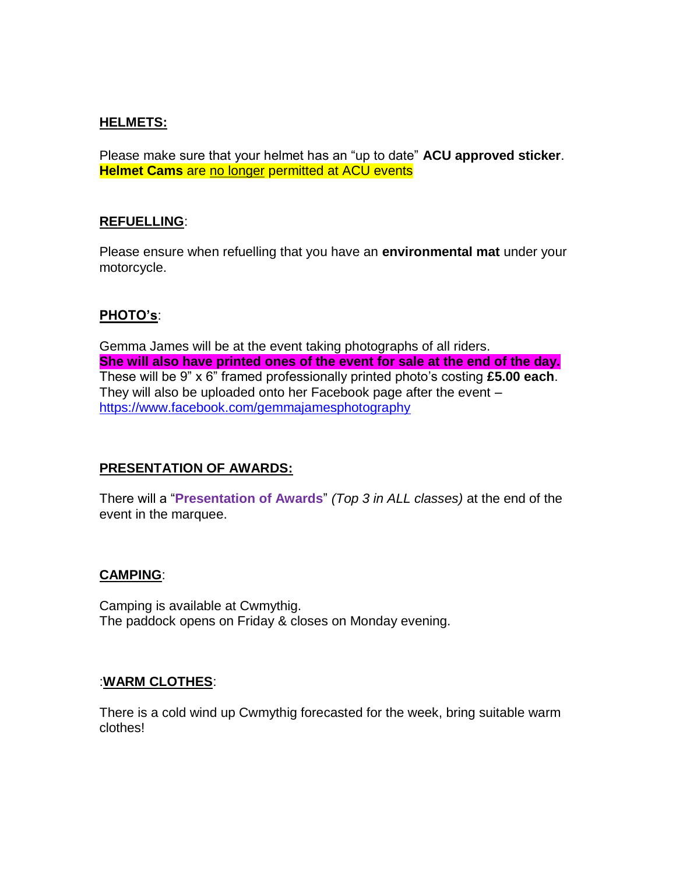#### **HELMETS:**

Please make sure that your helmet has an "up to date" **ACU approved sticker**. **Helmet Cams** are no longer permitted at ACU events

#### **REFUELLING**:

Please ensure when refuelling that you have an **environmental mat** under your motorcycle.

#### **PHOTO's**:

Gemma James will be at the event taking photographs of all riders. **She will also have printed ones of the event for sale at the end of the day.** These will be 9" x 6" framed professionally printed photo's costing **£5.00 each**. They will also be uploaded onto her Facebook page after the event – <https://www.facebook.com/gemmajamesphotography>

#### **PRESENTATION OF AWARDS:**

There will a "**Presentation of Awards**" *(Top 3 in ALL classes)* at the end of the event in the marquee.

#### **CAMPING**:

Camping is available at Cwmythig. The paddock opens on Friday & closes on Monday evening.

#### :**WARM CLOTHES**:

There is a cold wind up Cwmythig forecasted for the week, bring suitable warm clothes!